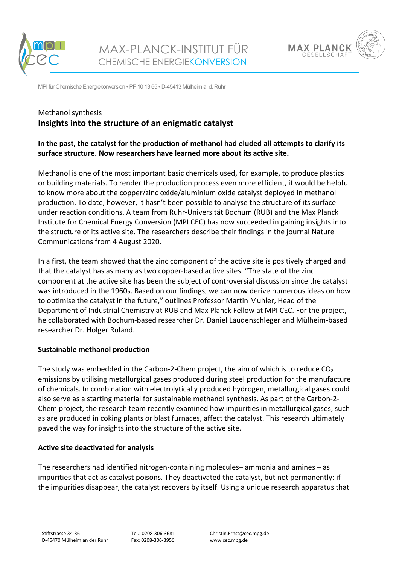





MPI für Chemische Energiekonversion • PF 10 13 65 • D-45413 Mülheim a. d. Ruhr

# Methanol synthesis **Insights into the structure of an enigmatic catalyst**

## **In the past, the catalyst for the production of methanol had eluded all attempts to clarify its surface structure. Now researchers have learned more about its active site.**

Methanol is one of the most important basic chemicals used, for example, to produce plastics or building materials. To render the production process even more efficient, it would be helpful to know more about the copper/zinc oxide/aluminium oxide catalyst deployed in methanol production. To date, however, it hasn't been possible to analyse the structure of its surface under reaction conditions. A team from Ruhr-Universität Bochum (RUB) and the Max Planck Institute for Chemical Energy Conversion (MPI CEC) has now succeeded in gaining insights into the structure of its active site. The researchers describe their findings in the journal Nature Communications from 4 August 2020.

In a first, the team showed that the zinc component of the active site is positively charged and that the catalyst has as many as two copper-based active sites. "The state of the zinc component at the active site has been the subject of controversial discussion since the catalyst was introduced in the 1960s. Based on our findings, we can now derive numerous ideas on how to optimise the catalyst in the future," outlines Professor Martin Muhler, Head of the Department of Industrial Chemistry at RUB and Max Planck Fellow at MPI CEC. For the project, he collaborated with Bochum-based researcher Dr. Daniel Laudenschleger and Mülheim-based researcher Dr. Holger Ruland.

### **Sustainable methanol production**

The study was embedded in the Carbon-2-Chem project, the aim of which is to reduce  $CO<sub>2</sub>$ emissions by utilising metallurgical gases produced during steel production for the manufacture of chemicals. In combination with electrolytically produced hydrogen, metallurgical gases could also serve as a starting material for sustainable methanol synthesis. As part of the Carbon-2- Chem project, the research team recently examined how impurities in metallurgical gases, such as are produced in coking plants or blast furnaces, affect the catalyst. This research ultimately paved the way for insights into the structure of the active site.

#### **Active site deactivated for analysis**

The researchers had identified nitrogen-containing molecules– ammonia and amines – as impurities that act as catalyst poisons. They deactivated the catalyst, but not permanently: if the impurities disappear, the catalyst recovers by itself. Using a unique research apparatus that